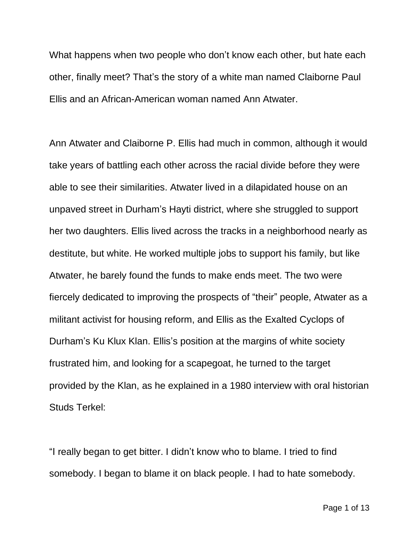What happens when two people who don't know each other, but hate each other, finally meet? That's the story of a white man named Claiborne Paul Ellis and an African-American woman named Ann Atwater.

Ann Atwater and Claiborne P. Ellis had much in common, although it would take years of battling each other across the racial divide before they were able to see their similarities. Atwater lived in a dilapidated house on an unpaved street in Durham's Hayti district, where she struggled to support her two daughters. Ellis lived across the tracks in a neighborhood nearly as destitute, but white. He worked multiple jobs to support his family, but like Atwater, he barely found the funds to make ends meet. The two were fiercely dedicated to improving the prospects of "their" people, Atwater as a militant activist for housing reform, and Ellis as the Exalted Cyclops of Durham's Ku Klux Klan. Ellis's position at the margins of white society frustrated him, and looking for a scapegoat, he turned to the target provided by the Klan, as he explained in a 1980 interview with oral historian Studs Terkel:

"I really began to get bitter. I didn't know who to blame. I tried to find somebody. I began to blame it on black people. I had to hate somebody.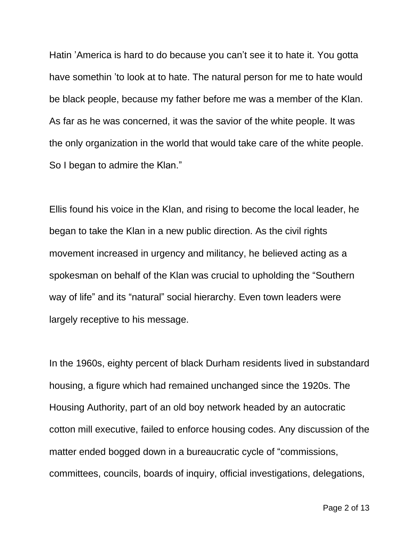Hatin 'America is hard to do because you can't see it to hate it. You gotta have somethin 'to look at to hate. The natural person for me to hate would be black people, because my father before me was a member of the Klan. As far as he was concerned, it was the savior of the white people. It was the only organization in the world that would take care of the white people. So I began to admire the Klan."

Ellis found his voice in the Klan, and rising to become the local leader, he began to take the Klan in a new public direction. As the civil rights movement increased in urgency and militancy, he believed acting as a spokesman on behalf of the Klan was crucial to upholding the "Southern way of life" and its "natural" social hierarchy. Even town leaders were largely receptive to his message.

In the 1960s, eighty percent of black Durham residents lived in substandard housing, a figure which had remained unchanged since the 1920s. The Housing Authority, part of an old boy network headed by an autocratic cotton mill executive, failed to enforce housing codes. Any discussion of the matter ended bogged down in a bureaucratic cycle of "commissions, committees, councils, boards of inquiry, official investigations, delegations,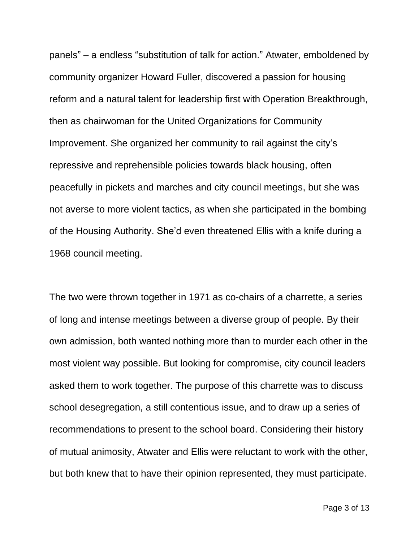panels" – a endless "substitution of talk for action." Atwater, emboldened by community organizer Howard Fuller, discovered a passion for housing reform and a natural talent for leadership first with Operation Breakthrough, then as chairwoman for the United Organizations for Community Improvement. She organized her community to rail against the city's repressive and reprehensible policies towards black housing, often peacefully in pickets and marches and city council meetings, but she was not averse to more violent tactics, as when she participated in the bombing of the Housing Authority. She'd even threatened Ellis with a knife during a 1968 council meeting.

The two were thrown together in 1971 as co-chairs of a charrette, a series of long and intense meetings between a diverse group of people. By their own admission, both wanted nothing more than to murder each other in the most violent way possible. But looking for compromise, city council leaders asked them to work together. The purpose of this charrette was to discuss school desegregation, a still contentious issue, and to draw up a series of recommendations to present to the school board. Considering their history of mutual animosity, Atwater and Ellis were reluctant to work with the other, but both knew that to have their opinion represented, they must participate.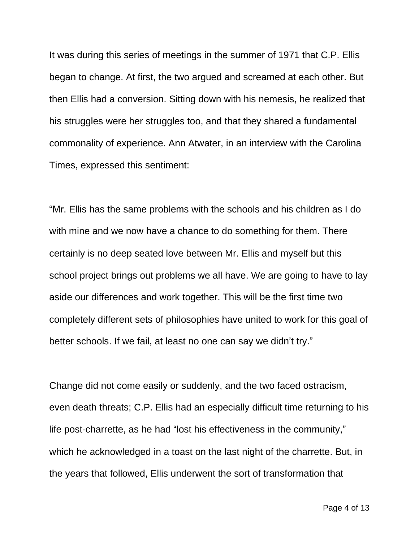It was during this series of meetings in the summer of 1971 that C.P. Ellis began to change. At first, the two argued and screamed at each other. But then Ellis had a conversion. Sitting down with his nemesis, he realized that his struggles were her struggles too, and that they shared a fundamental commonality of experience. Ann Atwater, in an interview with the Carolina Times, expressed this sentiment:

"Mr. Ellis has the same problems with the schools and his children as I do with mine and we now have a chance to do something for them. There certainly is no deep seated love between Mr. Ellis and myself but this school project brings out problems we all have. We are going to have to lay aside our differences and work together. This will be the first time two completely different sets of philosophies have united to work for this goal of better schools. If we fail, at least no one can say we didn't try."

Change did not come easily or suddenly, and the two faced ostracism, even death threats; C.P. Ellis had an especially difficult time returning to his life post-charrette, as he had "lost his effectiveness in the community," which he acknowledged in a toast on the last night of the charrette. But, in the years that followed, Ellis underwent the sort of transformation that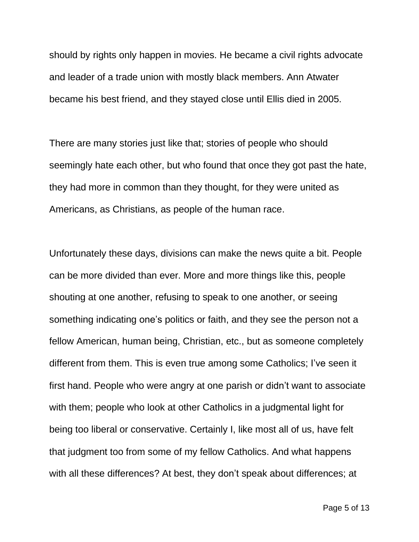should by rights only happen in movies. He became a civil rights advocate and leader of a trade union with mostly black members. Ann Atwater became his best friend, and they stayed close until Ellis died in 2005.

There are many stories just like that; stories of people who should seemingly hate each other, but who found that once they got past the hate, they had more in common than they thought, for they were united as Americans, as Christians, as people of the human race.

Unfortunately these days, divisions can make the news quite a bit. People can be more divided than ever. More and more things like this, people shouting at one another, refusing to speak to one another, or seeing something indicating one's politics or faith, and they see the person not a fellow American, human being, Christian, etc., but as someone completely different from them. This is even true among some Catholics; I've seen it first hand. People who were angry at one parish or didn't want to associate with them; people who look at other Catholics in a judgmental light for being too liberal or conservative. Certainly I, like most all of us, have felt that judgment too from some of my fellow Catholics. And what happens with all these differences? At best, they don't speak about differences; at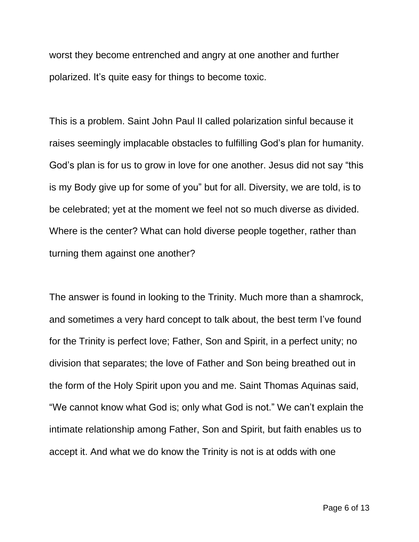worst they become entrenched and angry at one another and further polarized. It's quite easy for things to become toxic.

This is a problem. Saint John Paul II called polarization sinful because it raises seemingly implacable obstacles to fulfilling God's plan for humanity. God's plan is for us to grow in love for one another. Jesus did not say "this is my Body give up for some of you" but for all. Diversity, we are told, is to be celebrated; yet at the moment we feel not so much diverse as divided. Where is the center? What can hold diverse people together, rather than turning them against one another?

The answer is found in looking to the Trinity. Much more than a shamrock, and sometimes a very hard concept to talk about, the best term I've found for the Trinity is perfect love; Father, Son and Spirit, in a perfect unity; no division that separates; the love of Father and Son being breathed out in the form of the Holy Spirit upon you and me. Saint Thomas Aquinas said, "We cannot know what God is; only what God is not." We can't explain the intimate relationship among Father, Son and Spirit, but faith enables us to accept it. And what we do know the Trinity is not is at odds with one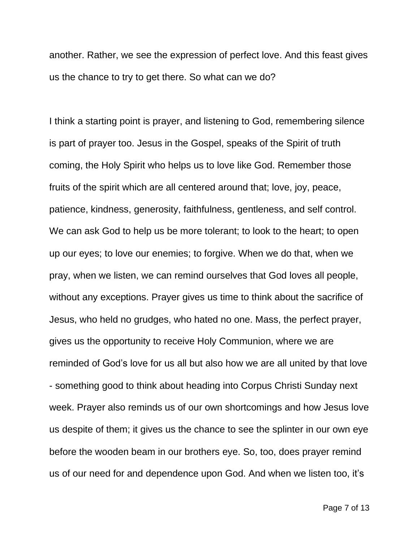another. Rather, we see the expression of perfect love. And this feast gives us the chance to try to get there. So what can we do?

I think a starting point is prayer, and listening to God, remembering silence is part of prayer too. Jesus in the Gospel, speaks of the Spirit of truth coming, the Holy Spirit who helps us to love like God. Remember those fruits of the spirit which are all centered around that; love, joy, peace, patience, kindness, generosity, faithfulness, gentleness, and self control. We can ask God to help us be more tolerant; to look to the heart; to open up our eyes; to love our enemies; to forgive. When we do that, when we pray, when we listen, we can remind ourselves that God loves all people, without any exceptions. Prayer gives us time to think about the sacrifice of Jesus, who held no grudges, who hated no one. Mass, the perfect prayer, gives us the opportunity to receive Holy Communion, where we are reminded of God's love for us all but also how we are all united by that love - something good to think about heading into Corpus Christi Sunday next week. Prayer also reminds us of our own shortcomings and how Jesus love us despite of them; it gives us the chance to see the splinter in our own eye before the wooden beam in our brothers eye. So, too, does prayer remind us of our need for and dependence upon God. And when we listen too, it's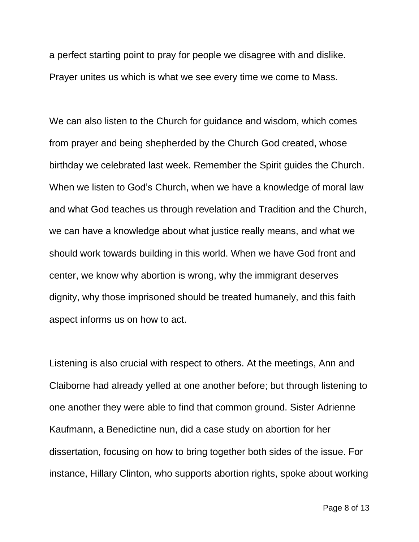a perfect starting point to pray for people we disagree with and dislike. Prayer unites us which is what we see every time we come to Mass.

We can also listen to the Church for guidance and wisdom, which comes from prayer and being shepherded by the Church God created, whose birthday we celebrated last week. Remember the Spirit guides the Church. When we listen to God's Church, when we have a knowledge of moral law and what God teaches us through revelation and Tradition and the Church, we can have a knowledge about what justice really means, and what we should work towards building in this world. When we have God front and center, we know why abortion is wrong, why the immigrant deserves dignity, why those imprisoned should be treated humanely, and this faith aspect informs us on how to act.

Listening is also crucial with respect to others. At the meetings, Ann and Claiborne had already yelled at one another before; but through listening to one another they were able to find that common ground. Sister Adrienne Kaufmann, a Benedictine nun, did a case study on abortion for her dissertation, focusing on how to bring together both sides of the issue. For instance, Hillary Clinton, who supports abortion rights, spoke about working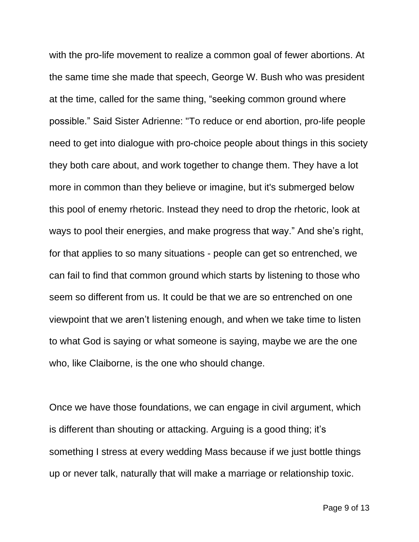with the pro-life movement to realize a common goal of fewer abortions. At the same time she made that speech, George W. Bush who was president at the time, called for the same thing, "seeking common ground where possible." Said Sister Adrienne: "To reduce or end abortion, pro-life people need to get into dialogue with pro-choice people about things in this society they both care about, and work together to change them. They have a lot more in common than they believe or imagine, but it's submerged below this pool of enemy rhetoric. Instead they need to drop the rhetoric, look at ways to pool their energies, and make progress that way." And she's right, for that applies to so many situations - people can get so entrenched, we can fail to find that common ground which starts by listening to those who seem so different from us. It could be that we are so entrenched on one viewpoint that we aren't listening enough, and when we take time to listen to what God is saying or what someone is saying, maybe we are the one who, like Claiborne, is the one who should change.

Once we have those foundations, we can engage in civil argument, which is different than shouting or attacking. Arguing is a good thing; it's something I stress at every wedding Mass because if we just bottle things up or never talk, naturally that will make a marriage or relationship toxic.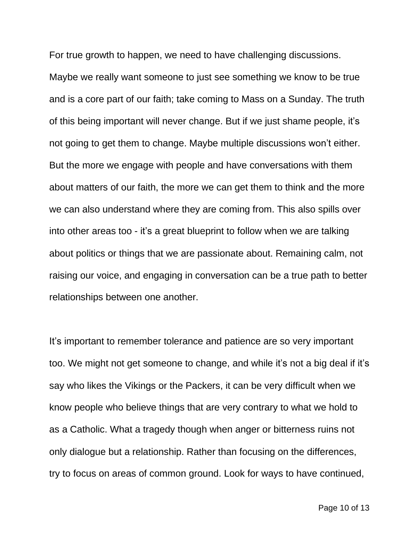For true growth to happen, we need to have challenging discussions.

Maybe we really want someone to just see something we know to be true and is a core part of our faith; take coming to Mass on a Sunday. The truth of this being important will never change. But if we just shame people, it's not going to get them to change. Maybe multiple discussions won't either. But the more we engage with people and have conversations with them about matters of our faith, the more we can get them to think and the more we can also understand where they are coming from. This also spills over into other areas too - it's a great blueprint to follow when we are talking about politics or things that we are passionate about. Remaining calm, not raising our voice, and engaging in conversation can be a true path to better relationships between one another.

It's important to remember tolerance and patience are so very important too. We might not get someone to change, and while it's not a big deal if it's say who likes the Vikings or the Packers, it can be very difficult when we know people who believe things that are very contrary to what we hold to as a Catholic. What a tragedy though when anger or bitterness ruins not only dialogue but a relationship. Rather than focusing on the differences, try to focus on areas of common ground. Look for ways to have continued,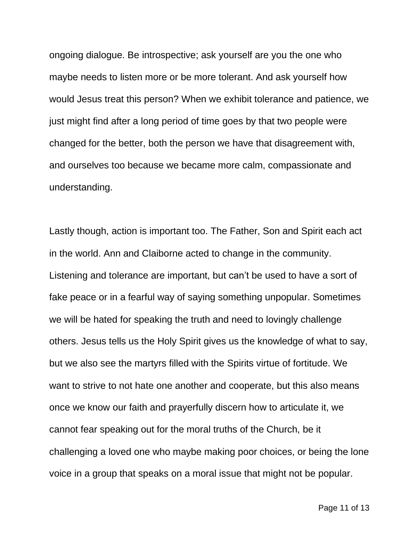ongoing dialogue. Be introspective; ask yourself are you the one who maybe needs to listen more or be more tolerant. And ask yourself how would Jesus treat this person? When we exhibit tolerance and patience, we just might find after a long period of time goes by that two people were changed for the better, both the person we have that disagreement with, and ourselves too because we became more calm, compassionate and understanding.

Lastly though, action is important too. The Father, Son and Spirit each act in the world. Ann and Claiborne acted to change in the community. Listening and tolerance are important, but can't be used to have a sort of fake peace or in a fearful way of saying something unpopular. Sometimes we will be hated for speaking the truth and need to lovingly challenge others. Jesus tells us the Holy Spirit gives us the knowledge of what to say, but we also see the martyrs filled with the Spirits virtue of fortitude. We want to strive to not hate one another and cooperate, but this also means once we know our faith and prayerfully discern how to articulate it, we cannot fear speaking out for the moral truths of the Church, be it challenging a loved one who maybe making poor choices, or being the lone voice in a group that speaks on a moral issue that might not be popular.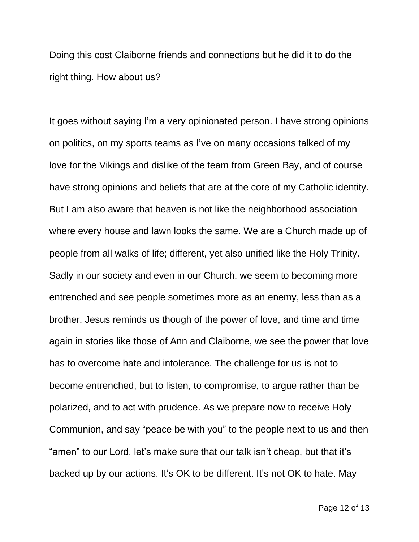Doing this cost Claiborne friends and connections but he did it to do the right thing. How about us?

It goes without saying I'm a very opinionated person. I have strong opinions on politics, on my sports teams as I've on many occasions talked of my love for the Vikings and dislike of the team from Green Bay, and of course have strong opinions and beliefs that are at the core of my Catholic identity. But I am also aware that heaven is not like the neighborhood association where every house and lawn looks the same. We are a Church made up of people from all walks of life; different, yet also unified like the Holy Trinity. Sadly in our society and even in our Church, we seem to becoming more entrenched and see people sometimes more as an enemy, less than as a brother. Jesus reminds us though of the power of love, and time and time again in stories like those of Ann and Claiborne, we see the power that love has to overcome hate and intolerance. The challenge for us is not to become entrenched, but to listen, to compromise, to argue rather than be polarized, and to act with prudence. As we prepare now to receive Holy Communion, and say "peace be with you" to the people next to us and then "amen" to our Lord, let's make sure that our talk isn't cheap, but that it's backed up by our actions. It's OK to be different. It's not OK to hate. May